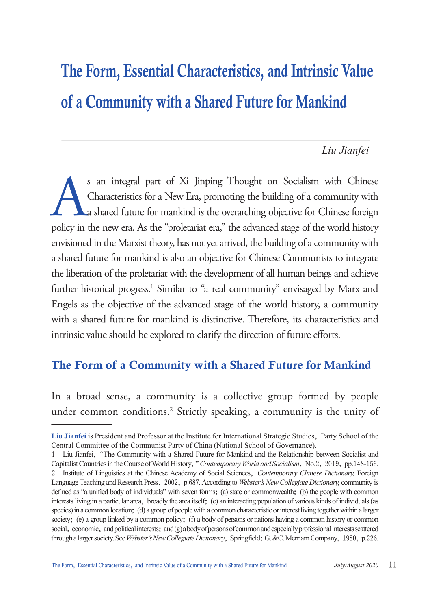# The Form, Essential Characteristics, and Intrinsic Value of a Community with a Shared Future for Mankind

*Liu Jianfei*

s an integral part of Xi Jinping Thought on Socialism with Chinese<br>Characteristics for a New Era, promoting the building of a community with<br>a shared future for mankind is the overarching objective for Chinese foreign<br>poli Characteristics for a New Era, promoting the building of a community with a shared future for mankind is the overarching objective for Chinese foreign policy in the new era. As the "proletariat era," the advanced stage of the world history envisioned in the Marxist theory, has not yet arrived, the building of a community with a shared future for mankind is also an objective for Chinese Communists to integrate the liberation of the proletariat with the development of all human beings and achieve further historical progress.<sup>1</sup> Similar to "a real community" envisaged by Marx and Engels as the objective of the advanced stage of the world history, a community with a shared future for mankind is distinctive. Therefore, its characteristics and intrinsic value should be explored to clarify the direction of future efforts.

## The Form of a Community with a Shared Future for Mankind

In a broad sense, a community is a collective group formed by people under common conditions.<sup>2</sup> Strictly speaking, a community is the unity of

**Liu Jianfei** is President and Professor at the Institute for International Strategic Studies, Party School of the Central Committee of the Communist Party of China (National School of Governance).

<sup>1</sup> Liu Jianfei, "The Community with a Shared Future for Mankind and the Relationship between Socialist and Capitalist Countries in the Course of World History," *Contemporary World and Socialism*, No.2, 2019, pp.148-156. 2 Institute of Linguistics at the Chinese Academy of Social Sciences, *Contemporary Chinese Dictionary,* Foreign Language Teaching and Research Press, 2002, p.687. According to *Webster's New Collegiate Dictionary,* community is defined as "a unified body of individuals" with seven forms: (a) state or commonwealth; (b) the people with common interests living in a particular area, broadly the area itself; (c) an interacting population of various kinds of individuals (as species) in a common location; (d) a group of people with a common characteristic or interest living together within a larger society; (e) a group linked by a common policy; (f) a body of persons or nations having a common history or common social, economic, and political interests; and (g) a body of persons of common and especially professional interests scattered through a larger society. See *Webster's New Collegiate Dictionary*, Springfield: G. &C. Merriam Company, 1980, p.226.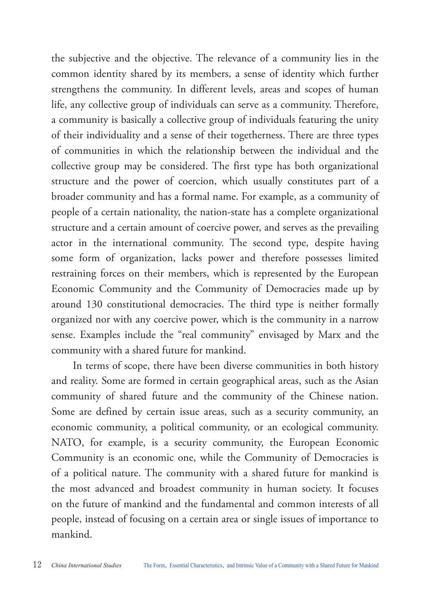the subjective and the objective. The relevance of a community lies in the common identity shared by its members, a sense of identity which further strengthens the community. In different levels, areas and scopes of human life, any collective group of individuals can serve as a community. Therefore, a community is basically a collective group of individuals featuring the unity of their individuality and a sense of their togetherness. There are three types of communities in which the relationship between the individual and the collective group may be considered. The first type has both organizational structure and the power of coercion, which usually constitutes part of a broader community and has a formal name. For example, as a community of people of a certain nationality, the nation-state has a complete organizational structure and a certain amount of coercive power, and serves as the prevailing actor in the international community. The second type, despite having some form of organization, lacks power and therefore possesses limited restraining forces on their members, which is represented by the European Economic Community and the Community of Democracies made up by around 130 constitutional democracies. The third type is neither formally organized nor with any coercive power, which is the community in a narrow sense. Examples include the "real community" envisaged by Marx and the community with a shared future for mankind.

In terms of scope, there have been diverse communities in both history and reality. Some are formed in certain geographical areas, such as the Asian community of shared future and the community of the Chinese nation. Some are defined by certain issue areas, such as a security community, an economic community, a political community, or an ecological community. NATO, for example, is a security community, the European Economic Community is an economic one, while the Community of Democracies is of a political nature. The community with a shared future for mankind is the most advanced and broadest community in human society. It focuses on the future of mankind and the fundamental and common interests of all people, instead of focusing on a certain area or single issues of importance to mankind.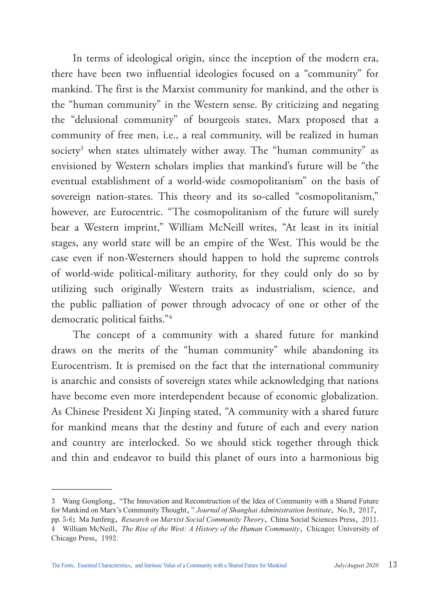In terms of ideological origin, since the inception of the modern era, there have been two influential ideologies focused on a "community" for mankind. The first is the Marxist community for mankind, and the other is the "human community" in the Western sense. By criticizing and negating the "delusional community" of bourgeois states, Marx proposed that a community of free men, i.e., a real community, will be realized in human society<sup>3</sup> when states ultimately wither away. The "human community" as envisioned by Western scholars implies that mankind's future will be "the eventual establishment of a world-wide cosmopolitanism" on the basis of sovereign nation-states. This theory and its so-called "cosmopolitanism," however, are Eurocentric. "The cosmopolitanism of the future will surely bear a Western imprint," William McNeill writes, "At least in its initial stages, any world state will be an empire of the West. This would be the case even if non-Westerners should happen to hold the supreme controls of world-wide political-military authority, for they could only do so by utilizing such originally Western traits as industrialism, science, and the public palliation of power through advocacy of one or other of the democratic political faiths."4

The concept of a community with a shared future for mankind draws on the merits of the "human community" while abandoning its Eurocentrism. It is premised on the fact that the international community is anarchic and consists of sovereign states while acknowledging that nations have become even more interdependent because of economic globalization. As Chinese President Xi Jinping stated, "A community with a shared future for mankind means that the destiny and future of each and every nation and country are interlocked. So we should stick together through thick and thin and endeavor to build this planet of ours into a harmonious big

<sup>3</sup> Wang Gonglong, "The Innovation and Reconstruction of the Idea of Community with a Shared Future for Mankind on Marx's Community Thought," *Journal of Shanghai Administration Institute*, No.9, 2017, pp. 5-6; Ma Junfeng, *Research on Marxist Social Community Theory*, China Social Sciences Press, 2011. 4 William McNeill, *The Rise of the West: A History of the Human Community*, Chicago: University of Chicago Press, 1992.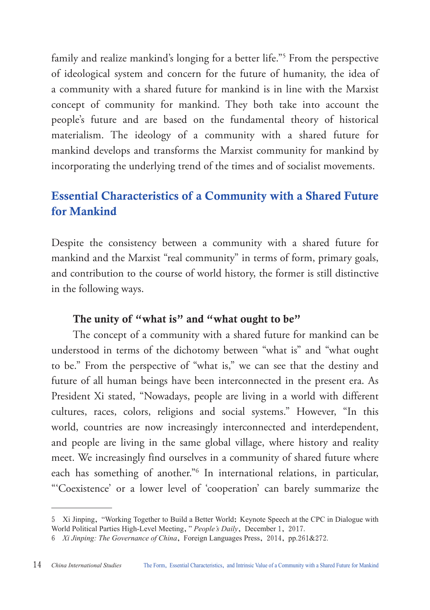family and realize mankind's longing for a better life."5 From the perspective of ideological system and concern for the future of humanity, the idea of a community with a shared future for mankind is in line with the Marxist concept of community for mankind. They both take into account the people's future and are based on the fundamental theory of historical materialism. The ideology of a community with a shared future for mankind develops and transforms the Marxist community for mankind by incorporating the underlying trend of the times and of socialist movements.

## Essential Characteristics of a Community with a Shared Future for Mankind

Despite the consistency between a community with a shared future for mankind and the Marxist "real community" in terms of form, primary goals, and contribution to the course of world history, the former is still distinctive in the following ways.

#### The unity of "what is" and "what ought to be"

The concept of a community with a shared future for mankind can be understood in terms of the dichotomy between "what is" and "what ought to be." From the perspective of "what is," we can see that the destiny and future of all human beings have been interconnected in the present era. As President Xi stated, "Nowadays, people are living in a world with different cultures, races, colors, religions and social systems." However, "In this world, countries are now increasingly interconnected and interdependent, and people are living in the same global village, where history and reality meet. We increasingly find ourselves in a community of shared future where each has something of another."6 In international relations, in particular, "'Coexistence' or a lower level of 'cooperation' can barely summarize the

<sup>5</sup> Xi Jinping, "Working Together to Build a Better World: Keynote Speech at the CPC in Dialogue with World Political Parties High-Level Meeting," *People's Daily*, December 1, 2017.

<sup>6</sup> *Xi Jinping: The Governance of China*, Foreign Languages Press, 2014, pp.261&272.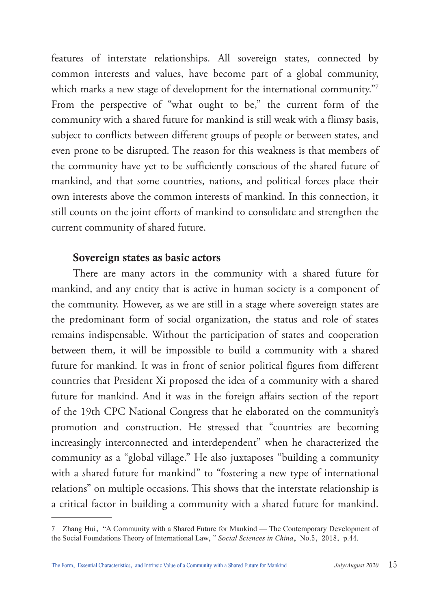features of interstate relationships. All sovereign states, connected by common interests and values, have become part of a global community, which marks a new stage of development for the international community."7 From the perspective of "what ought to be," the current form of the community with a shared future for mankind is still weak with a flimsy basis, subject to conflicts between different groups of people or between states, and even prone to be disrupted. The reason for this weakness is that members of the community have yet to be sufficiently conscious of the shared future of mankind, and that some countries, nations, and political forces place their own interests above the common interests of mankind. In this connection, it still counts on the joint efforts of mankind to consolidate and strengthen the current community of shared future.

#### Sovereign states as basic actors

There are many actors in the community with a shared future for mankind, and any entity that is active in human society is a component of the community. However, as we are still in a stage where sovereign states are the predominant form of social organization, the status and role of states remains indispensable. Without the participation of states and cooperation between them, it will be impossible to build a community with a shared future for mankind. It was in front of senior political figures from different countries that President Xi proposed the idea of a community with a shared future for mankind. And it was in the foreign affairs section of the report of the 19th CPC National Congress that he elaborated on the community's promotion and construction. He stressed that "countries are becoming increasingly interconnected and interdependent" when he characterized the community as a "global village." He also juxtaposes "building a community with a shared future for mankind" to "fostering a new type of international relations" on multiple occasions. This shows that the interstate relationship is a critical factor in building a community with a shared future for mankind.

<sup>7</sup> Zhang Hui, "A Community with a Shared Future for Mankind — The Contemporary Development of the Social Foundations Theory of International Law," *Social Sciences in China*, No.5, 2018, p.44.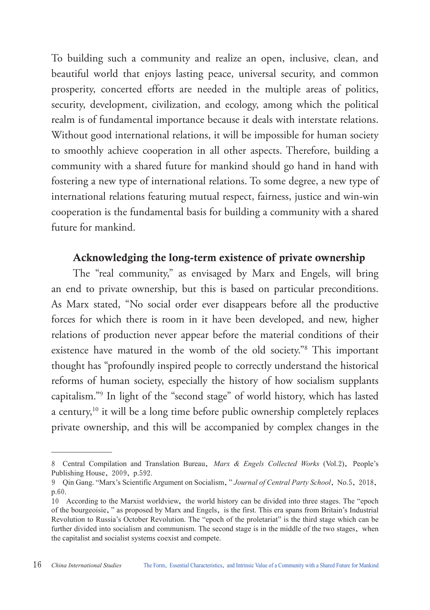To building such a community and realize an open, inclusive, clean, and beautiful world that enjoys lasting peace, universal security, and common prosperity, concerted efforts are needed in the multiple areas of politics, security, development, civilization, and ecology, among which the political realm is of fundamental importance because it deals with interstate relations. Without good international relations, it will be impossible for human society to smoothly achieve cooperation in all other aspects. Therefore, building a community with a shared future for mankind should go hand in hand with fostering a new type of international relations. To some degree, a new type of international relations featuring mutual respect, fairness, justice and win-win cooperation is the fundamental basis for building a community with a shared future for mankind.

#### Acknowledging the long-term existence of private ownership

The "real community," as envisaged by Marx and Engels, will bring an end to private ownership, but this is based on particular preconditions. As Marx stated, "No social order ever disappears before all the productive forces for which there is room in it have been developed, and new, higher relations of production never appear before the material conditions of their existence have matured in the womb of the old society."8 This important thought has "profoundly inspired people to correctly understand the historical reforms of human society, especially the history of how socialism supplants capitalism."9 In light of the "second stage" of world history, which has lasted a century,<sup>10</sup> it will be a long time before public ownership completely replaces private ownership, and this will be accompanied by complex changes in the

<sup>8</sup> Central Compilation and Translation Bureau, *Marx & Engels Collected Works* (Vol.2), People's Publishing House, 2009, p.592.

<sup>9</sup> Qin Gang. "Marx's Scientific Argument on Socialism," *Journal of Central Party School*, No.5, 2018, p.60.

<sup>10</sup> According to the Marxist worldview, the world history can be divided into three stages. The "epoch of the bourgeoisie," as proposed by Marx and Engels, is the first. This era spans from Britain's Industrial Revolution to Russia's October Revolution. The "epoch of the proletariat" is the third stage which can be further divided into socialism and communism. The second stage is in the middle of the two stages, when the capitalist and socialist systems coexist and compete.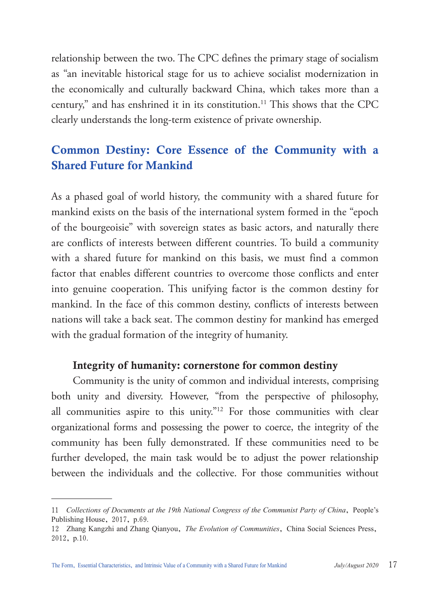relationship between the two. The CPC defines the primary stage of socialism as "an inevitable historical stage for us to achieve socialist modernization in the economically and culturally backward China, which takes more than a century," and has enshrined it in its constitution.11 This shows that the CPC clearly understands the long-term existence of private ownership.

## Common Destiny: Core Essence of the Community with a Shared Future for Mankind

As a phased goal of world history, the community with a shared future for mankind exists on the basis of the international system formed in the "epoch of the bourgeoisie" with sovereign states as basic actors, and naturally there are conflicts of interests between different countries. To build a community with a shared future for mankind on this basis, we must find a common factor that enables different countries to overcome those conflicts and enter into genuine cooperation. This unifying factor is the common destiny for mankind. In the face of this common destiny, conflicts of interests between nations will take a back seat. The common destiny for mankind has emerged with the gradual formation of the integrity of humanity.

#### Integrity of humanity: cornerstone for common destiny

Community is the unity of common and individual interests, comprising both unity and diversity. However, "from the perspective of philosophy, all communities aspire to this unity."12 For those communities with clear organizational forms and possessing the power to coerce, the integrity of the community has been fully demonstrated. If these communities need to be further developed, the main task would be to adjust the power relationship between the individuals and the collective. For those communities without

<sup>11</sup> *Collections of Documents at the 19th National Congress of the Communist Party of China*, People's Publishing House, 2017, p.69.

<sup>12</sup> Zhang Kangzhi and Zhang Qianyou, *The Evolution of Communities*, China Social Sciences Press, 2012, p.10.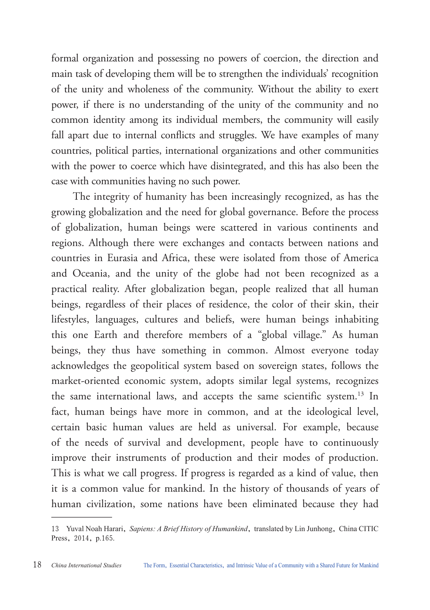formal organization and possessing no powers of coercion, the direction and main task of developing them will be to strengthen the individuals' recognition of the unity and wholeness of the community. Without the ability to exert power, if there is no understanding of the unity of the community and no common identity among its individual members, the community will easily fall apart due to internal conflicts and struggles. We have examples of many countries, political parties, international organizations and other communities with the power to coerce which have disintegrated, and this has also been the case with communities having no such power.

The integrity of humanity has been increasingly recognized, as has the growing globalization and the need for global governance. Before the process of globalization, human beings were scattered in various continents and regions. Although there were exchanges and contacts between nations and countries in Eurasia and Africa, these were isolated from those of America and Oceania, and the unity of the globe had not been recognized as a practical reality. After globalization began, people realized that all human beings, regardless of their places of residence, the color of their skin, their lifestyles, languages, cultures and beliefs, were human beings inhabiting this one Earth and therefore members of a "global village." As human beings, they thus have something in common. Almost everyone today acknowledges the geopolitical system based on sovereign states, follows the market-oriented economic system, adopts similar legal systems, recognizes the same international laws, and accepts the same scientific system.<sup>13</sup> In fact, human beings have more in common, and at the ideological level, certain basic human values are held as universal. For example, because of the needs of survival and development, people have to continuously improve their instruments of production and their modes of production. This is what we call progress. If progress is regarded as a kind of value, then it is a common value for mankind. In the history of thousands of years of human civilization, some nations have been eliminated because they had

<sup>13</sup> Yuval Noah Harari, *Sapiens: A Brief History of Humankind*, translated by Lin Junhong, China CITIC Press, 2014, p.165.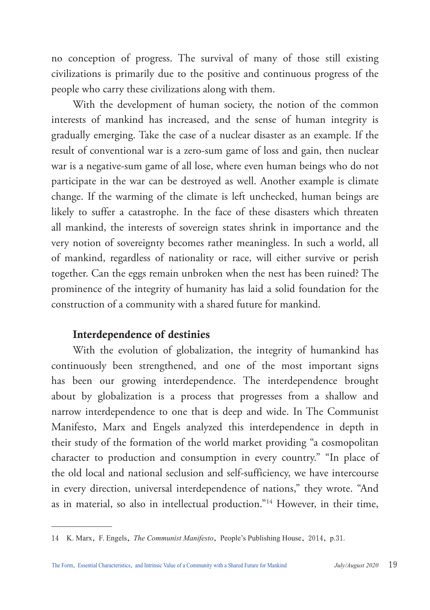no conception of progress. The survival of many of those still existing civilizations is primarily due to the positive and continuous progress of the people who carry these civilizations along with them.

With the development of human society, the notion of the common interests of mankind has increased, and the sense of human integrity is gradually emerging. Take the case of a nuclear disaster as an example. If the result of conventional war is a zero-sum game of loss and gain, then nuclear war is a negative-sum game of all lose, where even human beings who do not participate in the war can be destroyed as well. Another example is climate change. If the warming of the climate is left unchecked, human beings are likely to suffer a catastrophe. In the face of these disasters which threaten all mankind, the interests of sovereign states shrink in importance and the very notion of sovereignty becomes rather meaningless. In such a world, all of mankind, regardless of nationality or race, will either survive or perish together. Can the eggs remain unbroken when the nest has been ruined? The prominence of the integrity of humanity has laid a solid foundation for the construction of a community with a shared future for mankind.

### Interdependence of destinies

With the evolution of globalization, the integrity of humankind has continuously been strengthened, and one of the most important signs has been our growing interdependence. The interdependence brought about by globalization is a process that progresses from a shallow and narrow interdependence to one that is deep and wide. In The Communist Manifesto, Marx and Engels analyzed this interdependence in depth in their study of the formation of the world market providing "a cosmopolitan character to production and consumption in every country." "In place of the old local and national seclusion and self-sufficiency, we have intercourse in every direction, universal interdependence of nations," they wrote. "And as in material, so also in intellectual production."14 However, in their time,

<sup>14</sup> K. Marx, F. Engels, *The Communist Manifesto*, People's Publishing House, 2014, p.31.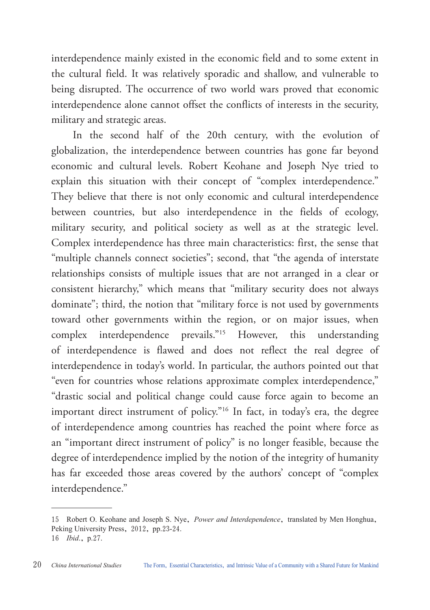interdependence mainly existed in the economic field and to some extent in the cultural field. It was relatively sporadic and shallow, and vulnerable to being disrupted. The occurrence of two world wars proved that economic interdependence alone cannot offset the conflicts of interests in the security, military and strategic areas.

In the second half of the 20th century, with the evolution of globalization, the interdependence between countries has gone far beyond economic and cultural levels. Robert Keohane and Joseph Nye tried to explain this situation with their concept of "complex interdependence." They believe that there is not only economic and cultural interdependence between countries, but also interdependence in the fields of ecology, military security, and political society as well as at the strategic level. Complex interdependence has three main characteristics: first, the sense that "multiple channels connect societies"; second, that "the agenda of interstate relationships consists of multiple issues that are not arranged in a clear or consistent hierarchy," which means that "military security does not always dominate"; third, the notion that "military force is not used by governments toward other governments within the region, or on major issues, when complex interdependence prevails."15 However, this understanding of interdependence is flawed and does not reflect the real degree of interdependence in today's world. In particular, the authors pointed out that "even for countries whose relations approximate complex interdependence," "drastic social and political change could cause force again to become an important direct instrument of policy."16 In fact, in today's era, the degree of interdependence among countries has reached the point where force as an "important direct instrument of policy" is no longer feasible, because the degree of interdependence implied by the notion of the integrity of humanity has far exceeded those areas covered by the authors' concept of "complex interdependence."

<sup>15</sup> Robert O. Keohane and Joseph S. Nye, *Power and Interdependence*, translated by Men Honghua, Peking University Press, 2012, pp.23-24. 16 *Ibid*., p.27.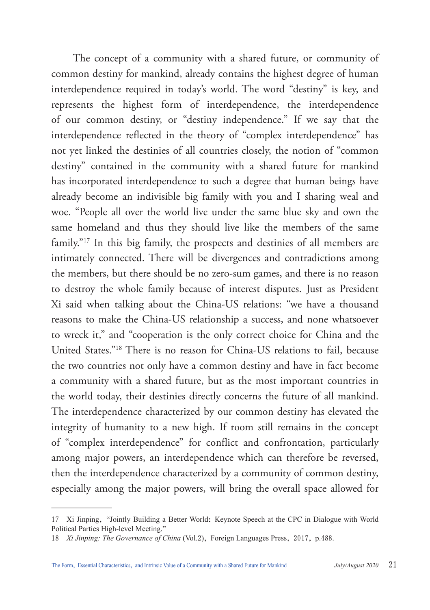The concept of a community with a shared future, or community of common destiny for mankind, already contains the highest degree of human interdependence required in today's world. The word "destiny" is key, and represents the highest form of interdependence, the interdependence of our common destiny, or "destiny independence." If we say that the interdependence reflected in the theory of "complex interdependence" has not yet linked the destinies of all countries closely, the notion of "common destiny" contained in the community with a shared future for mankind has incorporated interdependence to such a degree that human beings have already become an indivisible big family with you and I sharing weal and woe. "People all over the world live under the same blue sky and own the same homeland and thus they should live like the members of the same family."17 In this big family, the prospects and destinies of all members are intimately connected. There will be divergences and contradictions among the members, but there should be no zero-sum games, and there is no reason to destroy the whole family because of interest disputes. Just as President Xi said when talking about the China-US relations: "we have a thousand reasons to make the China-US relationship a success, and none whatsoever to wreck it," and "cooperation is the only correct choice for China and the United States."18 There is no reason for China-US relations to fail, because the two countries not only have a common destiny and have in fact become a community with a shared future, but as the most important countries in the world today, their destinies directly concerns the future of all mankind. The interdependence characterized by our common destiny has elevated the integrity of humanity to a new high. If room still remains in the concept of "complex interdependence" for conflict and confrontation, particularly among major powers, an interdependence which can therefore be reversed, then the interdependence characterized by a community of common destiny, especially among the major powers, will bring the overall space allowed for

<sup>17</sup> Xi Jinping, "Jointly Building a Better World: Keynote Speech at the CPC in Dialogue with World Political Parties High-level Meeting."

<sup>18</sup> *Xi Jinping: The Governance of China* (Vol.2), Foreign Languages Press, 2017, p.488.